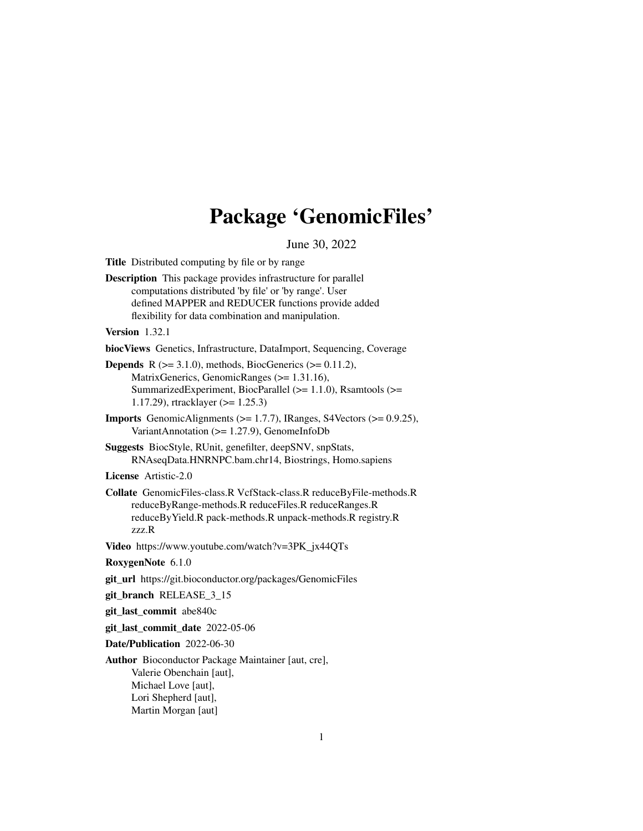# Package 'GenomicFiles'

June 30, 2022

<span id="page-0-0"></span>Title Distributed computing by file or by range

Description This package provides infrastructure for parallel computations distributed 'by file' or 'by range'. User defined MAPPER and REDUCER functions provide added flexibility for data combination and manipulation.

Version 1.32.1

biocViews Genetics, Infrastructure, DataImport, Sequencing, Coverage

**Depends** R  $(>= 3.1.0)$ , methods, BiocGenerics  $(>= 0.11.2)$ , MatrixGenerics, GenomicRanges (>= 1.31.16), SummarizedExperiment, BiocParallel (>= 1.1.0), Rsamtools (>= 1.17.29), rtracklayer (>= 1.25.3)

**Imports** GenomicAlignments ( $>= 1.7.7$ ), IRanges, S4Vectors ( $>= 0.9.25$ ), VariantAnnotation (>= 1.27.9), GenomeInfoDb

Suggests BiocStyle, RUnit, genefilter, deepSNV, snpStats, RNAseqData.HNRNPC.bam.chr14, Biostrings, Homo.sapiens

License Artistic-2.0

Collate GenomicFiles-class.R VcfStack-class.R reduceByFile-methods.R reduceByRange-methods.R reduceFiles.R reduceRanges.R reduceByYield.R pack-methods.R unpack-methods.R registry.R zzz.R

Video https://www.youtube.com/watch?v=3PK\_jx44QTs

RoxygenNote 6.1.0

git\_url https://git.bioconductor.org/packages/GenomicFiles

git\_branch RELEASE\_3\_15

git\_last\_commit abe840c

git\_last\_commit\_date 2022-05-06

Date/Publication 2022-06-30

Author Bioconductor Package Maintainer [aut, cre], Valerie Obenchain [aut], Michael Love [aut], Lori Shepherd [aut], Martin Morgan [aut]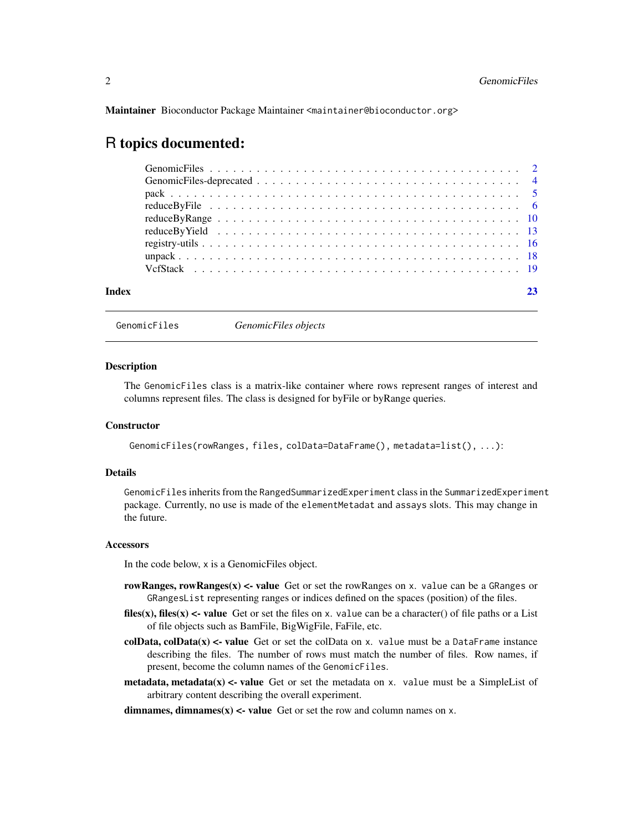<span id="page-1-0"></span>Maintainer Bioconductor Package Maintainer <maintainer@bioconductor.org>

## R topics documented:

| Index |  |  |  |  |  |  |  |  |  |  |  |  |  |  |  |  |
|-------|--|--|--|--|--|--|--|--|--|--|--|--|--|--|--|--|

GenomicFiles *GenomicFiles objects*

## <span id="page-1-1"></span>Description

The GenomicFiles class is a matrix-like container where rows represent ranges of interest and columns represent files. The class is designed for byFile or byRange queries.

## **Constructor**

```
GenomicFiles(rowRanges, files, colData=DataFrame(), metadata=list(), ...):
```
## Details

GenomicFiles inherits from the RangedSummarizedExperiment class in the SummarizedExperiment package. Currently, no use is made of the elementMetadat and assays slots. This may change in the future.

#### Accessors

In the code below, x is a GenomicFiles object.

- rowRanges, rowRanges $(x)$  <- value Get or set the rowRanges on x. value can be a GRanges or GRangesList representing ranges or indices defined on the spaces (position) of the files.
- files(x), files(x) <- value Get or set the files on x. value can be a character() of file paths or a List of file objects such as BamFile, BigWigFile, FaFile, etc.
- colData, colData $(x)$  <- value Get or set the colData on x. value must be a DataFrame instance describing the files. The number of rows must match the number of files. Row names, if present, become the column names of the GenomicFiles.
- metadata, metadata $(x)$  <- value Get or set the metadata on x. value must be a SimpleList of arbitrary content describing the overall experiment.

dimnames, dimnames $(x)$  <- value Get or set the row and column names on x.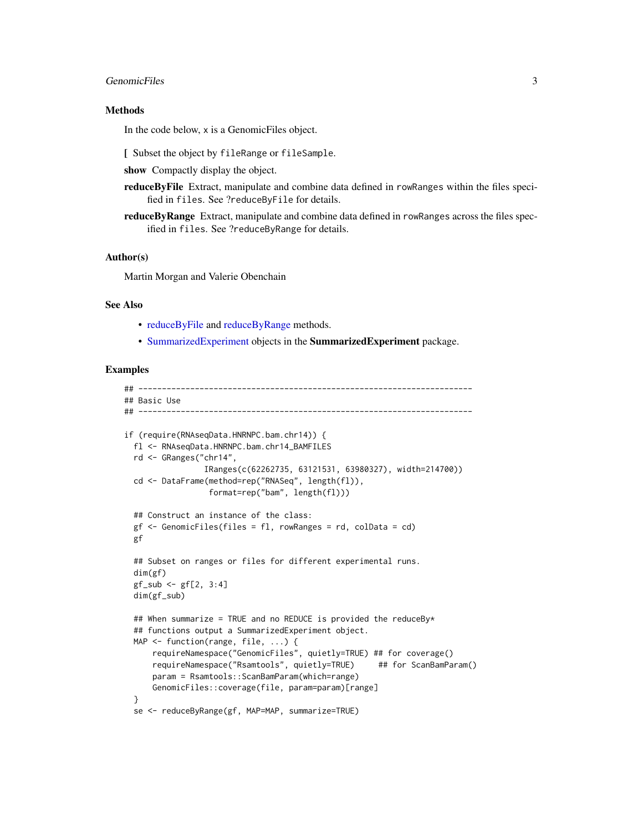## <span id="page-2-0"></span>GenomicFiles 3

## Methods

In the code below, x is a GenomicFiles object.

[ Subset the object by fileRange or fileSample.

show Compactly display the object.

reduceByFile Extract, manipulate and combine data defined in rowRanges within the files specified in files. See ?reduceByFile for details.

reduceByRange Extract, manipulate and combine data defined in rowRanges across the files specified in files. See ?reduceByRange for details.

## Author(s)

Martin Morgan and Valerie Obenchain

## See Also

- [reduceByFile](#page-5-1) and [reduceByRange](#page-9-1) methods.
- [SummarizedExperiment](#page-0-0) objects in the SummarizedExperiment package.

```
## -----------------------------------------------------------------------
## Basic Use
## -----------------------------------------------------------------------
if (require(RNAseqData.HNRNPC.bam.chr14)) {
 fl <- RNAseqData.HNRNPC.bam.chr14_BAMFILES
 rd <- GRanges("chr14",
                 IRanges(c(62262735, 63121531, 63980327), width=214700))
 cd <- DataFrame(method=rep("RNASeq", length(fl)),
                  format=rep("bam", length(fl)))
 ## Construct an instance of the class:
 gf \leftarrow GenomicFiles(files = fl, rowRanges = rd, colData = cd)
 gf
 ## Subset on ranges or files for different experimental runs.
 dim(gf)
 gf\_sub \leftarrow gf[2, 3:4]dim(gf_sub)
 ## When summarize = TRUE and no REDUCE is provided the reduceBy*
 ## functions output a SummarizedExperiment object.
 MAP <- function(range, file, ...) {
      requireNamespace("GenomicFiles", quietly=TRUE) ## for coverage()
      requireNamespace("Rsamtools", quietly=TRUE) ## for ScanBamParam()
      param = Rsamtools::ScanBamParam(which=range)
      GenomicFiles::coverage(file, param=param)[range]
 \lambdase <- reduceByRange(gf, MAP=MAP, summarize=TRUE)
```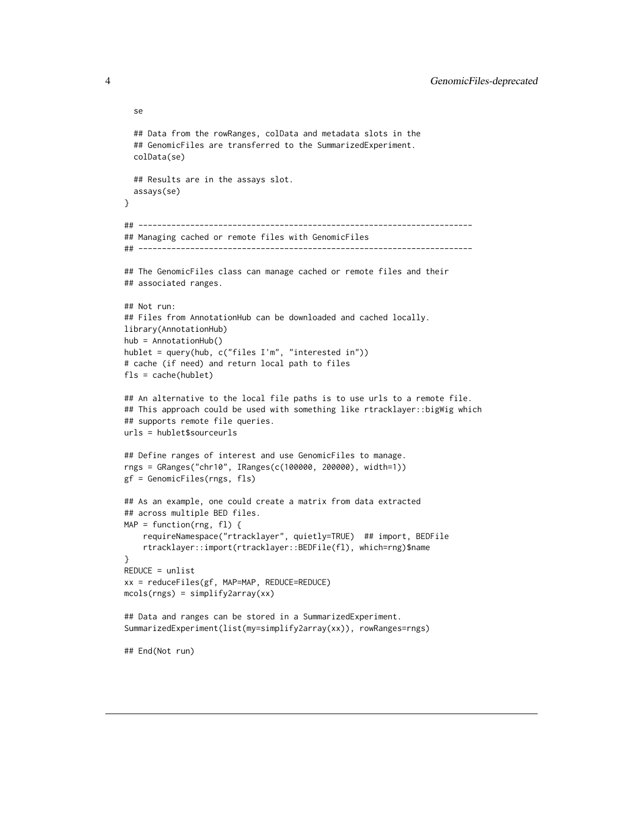```
se
  ## Data from the rowRanges, colData and metadata slots in the
  ## GenomicFiles are transferred to the SummarizedExperiment.
  colData(se)
  ## Results are in the assays slot.
  assays(se)
}
## -----------------------------------------------------------------------
## Managing cached or remote files with GenomicFiles
## -----------------------------------------------------------------------
## The GenomicFiles class can manage cached or remote files and their
## associated ranges.
## Not run:
## Files from AnnotationHub can be downloaded and cached locally.
library(AnnotationHub)
hub = AnnotationHub()
hublet = query(hub, c("files I'm", "interested in"))
# cache (if need) and return local path to files
fls = cache(hublet)
## An alternative to the local file paths is to use urls to a remote file.
## This approach could be used with something like rtracklayer::bigWig which
## supports remote file queries.
urls = hublet$sourceurls
## Define ranges of interest and use GenomicFiles to manage.
rngs = GRanges("chr10", IRanges(c(100000, 200000), width=1))
gf = GenomicFiles(rngs, fls)
## As an example, one could create a matrix from data extracted
## across multiple BED files.
MAP = function(rng, f1) {
    requireNamespace("rtracklayer", quietly=TRUE) ## import, BEDFile
    rtracklayer::import(rtracklayer::BEDFile(fl), which=rng)$name
}
REDUCE = unlist
xx = reduceFiles(gf, MAP=MAP, REDUCE=REDUCE)
mcols(rngs) = simplify2array(xx)
## Data and ranges can be stored in a SummarizedExperiment.
SummarizedExperiment(list(my=simplify2array(xx)), rowRanges=rngs)
## End(Not run)
```
<span id="page-3-0"></span>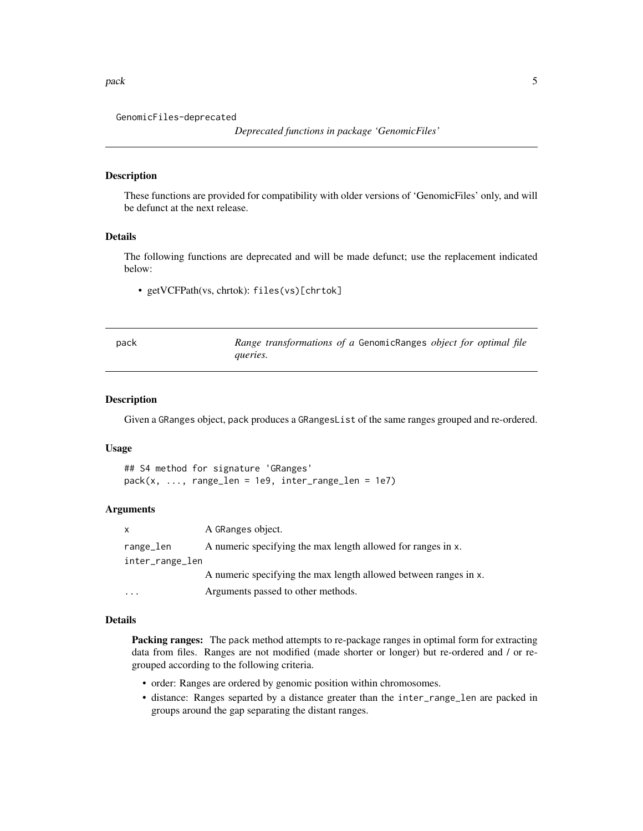<span id="page-4-0"></span>pack the state of the state of the state of the state of the state of the state of the state of the state of the state of the state of the state of the state of the state of the state of the state of the state of the state

GenomicFiles-deprecated

## Description

These functions are provided for compatibility with older versions of 'GenomicFiles' only, and will be defunct at the next release.

## Details

The following functions are deprecated and will be made defunct; use the replacement indicated below:

• getVCFPath(vs, chrtok): files(vs)[chrtok]

<span id="page-4-1"></span>

| pack | Range transformations of a GenomicRanges object for optimal file |
|------|------------------------------------------------------------------|
|      | queries.                                                         |

## Description

Given a GRanges object, pack produces a GRangesList of the same ranges grouped and re-ordered.

## Usage

```
## S4 method for signature 'GRanges'
pack(x, ..., range_{len} = 1e9, inter_range_{len} = 1e7)
```
## Arguments

| x.              | A GRanges object.                                                |
|-----------------|------------------------------------------------------------------|
| range_len       | A numeric specifying the max length allowed for ranges in x.     |
| inter_range_len |                                                                  |
|                 | A numeric specifying the max length allowed between ranges in x. |
| $\cdots$        | Arguments passed to other methods.                               |

## Details

Packing ranges: The pack method attempts to re-package ranges in optimal form for extracting data from files. Ranges are not modified (made shorter or longer) but re-ordered and / or regrouped according to the following criteria.

- order: Ranges are ordered by genomic position within chromosomes.
- distance: Ranges separted by a distance greater than the inter\_range\_len are packed in groups around the gap separating the distant ranges.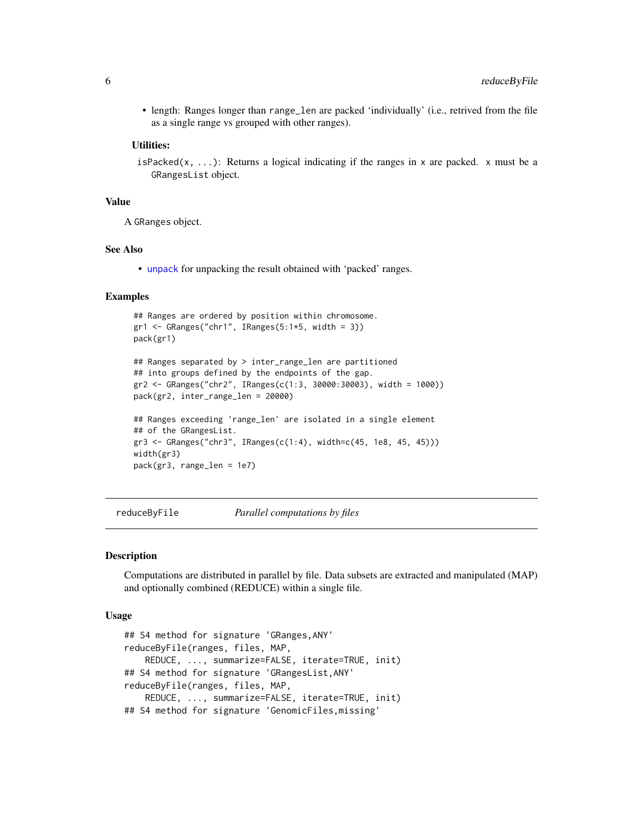<span id="page-5-0"></span>• length: Ranges longer than range\_len are packed 'individually' (i.e., retrived from the file as a single range vs grouped with other ranges).

## Utilities:

isPacked(x, ...): Returns a logical indicating if the ranges in x are packed. x must be a GRangesList object.

## Value

A GRanges object.

## See Also

• [unpack](#page-17-1) for unpacking the result obtained with 'packed' ranges.

## Examples

```
## Ranges are ordered by position within chromosome.
gr1 <- GRanges("chr1", IRanges(5:1*5, width = 3))
pack(gr1)
## Ranges separated by > inter_range_len are partitioned
## into groups defined by the endpoints of the gap.
gr2 <- GRanges("chr2", IRanges(c(1:3, 30000:30003), width = 1000))
pack(gr2, inter_range_len = 20000)
## Ranges exceeding 'range_len' are isolated in a single element
## of the GRangesList.
gr3 <- GRanges("chr3", IRanges(c(1:4), width=c(45, 1e8, 45, 45)))
width(gr3)
pack(gr3, range_len = 1e7)
```
<span id="page-5-1"></span>reduceByFile *Parallel computations by files*

## <span id="page-5-2"></span>Description

Computations are distributed in parallel by file. Data subsets are extracted and manipulated (MAP) and optionally combined (REDUCE) within a single file.

## Usage

```
## S4 method for signature 'GRanges,ANY'
reduceByFile(ranges, files, MAP,
   REDUCE, ..., summarize=FALSE, iterate=TRUE, init)
## S4 method for signature 'GRangesList,ANY'
reduceByFile(ranges, files, MAP,
   REDUCE, ..., summarize=FALSE, iterate=TRUE, init)
## S4 method for signature 'GenomicFiles,missing'
```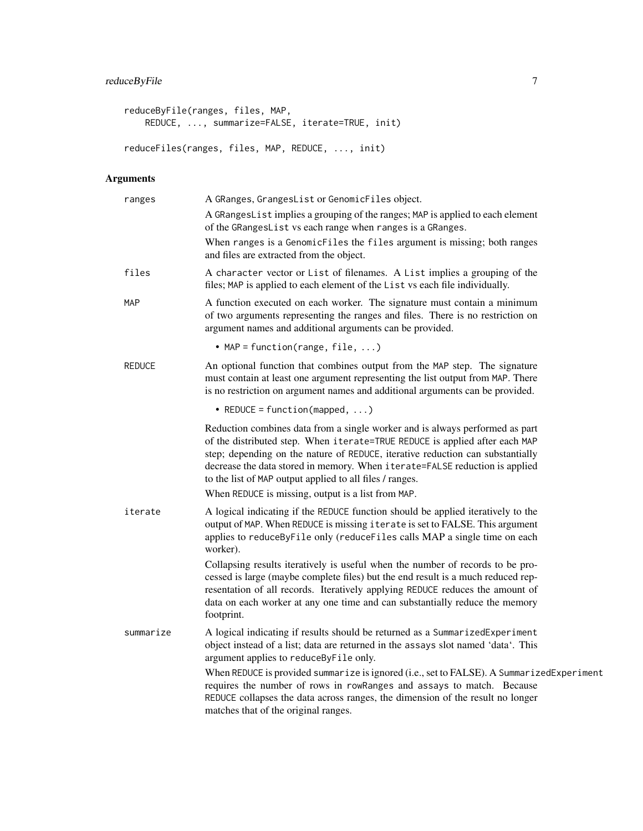```
reduceByFile(ranges, files, MAP,
   REDUCE, ..., summarize=FALSE, iterate=TRUE, init)
reduceFiles(ranges, files, MAP, REDUCE, ..., init)
```
## Arguments

| ranges        | A GRanges, GrangesList or GenomicFiles object.                                                                                                                                                                                                                                                                                                                                           |
|---------------|------------------------------------------------------------------------------------------------------------------------------------------------------------------------------------------------------------------------------------------------------------------------------------------------------------------------------------------------------------------------------------------|
|               | A GRangesList implies a grouping of the ranges; MAP is applied to each element<br>of the GRangesList vs each range when ranges is a GRanges.                                                                                                                                                                                                                                             |
|               | When ranges is a GenomicFiles the files argument is missing; both ranges<br>and files are extracted from the object.                                                                                                                                                                                                                                                                     |
| files         | A character vector or List of filenames. A List implies a grouping of the<br>files; MAP is applied to each element of the List vs each file individually.                                                                                                                                                                                                                                |
| MAP           | A function executed on each worker. The signature must contain a minimum<br>of two arguments representing the ranges and files. There is no restriction on<br>argument names and additional arguments can be provided.                                                                                                                                                                   |
|               | • MAP = function(range, file, )                                                                                                                                                                                                                                                                                                                                                          |
| <b>REDUCE</b> | An optional function that combines output from the MAP step. The signature<br>must contain at least one argument representing the list output from MAP. There<br>is no restriction on argument names and additional arguments can be provided.                                                                                                                                           |
|               | • REDUCE = function(mapped, $\ldots$ )                                                                                                                                                                                                                                                                                                                                                   |
|               | Reduction combines data from a single worker and is always performed as part<br>of the distributed step. When iterate=TRUE REDUCE is applied after each MAP<br>step; depending on the nature of REDUCE, iterative reduction can substantially<br>decrease the data stored in memory. When iterate=FALSE reduction is applied<br>to the list of MAP output applied to all files / ranges. |
|               | When REDUCE is missing, output is a list from MAP.                                                                                                                                                                                                                                                                                                                                       |
| iterate       | A logical indicating if the REDUCE function should be applied iteratively to the<br>output of MAP. When REDUCE is missing i terate is set to FALSE. This argument<br>applies to reduceByFile only (reduceFiles calls MAP a single time on each<br>worker).                                                                                                                               |
|               | Collapsing results iteratively is useful when the number of records to be pro-<br>cessed is large (maybe complete files) but the end result is a much reduced rep-<br>resentation of all records. Iteratively applying REDUCE reduces the amount of<br>data on each worker at any one time and can substantially reduce the memory<br>footprint.                                         |
| summarize     | A logical indicating if results should be returned as a SummarizedExperiment<br>object instead of a list; data are returned in the assays slot named 'data'. This<br>argument applies to reduceByFile only.                                                                                                                                                                              |
|               | When REDUCE is provided summarize is ignored (i.e., set to FALSE). A SummarizedExperiment<br>requires the number of rows in rowRanges and assays to match. Because<br>REDUCE collapses the data across ranges, the dimension of the result no longer<br>matches that of the original ranges.                                                                                             |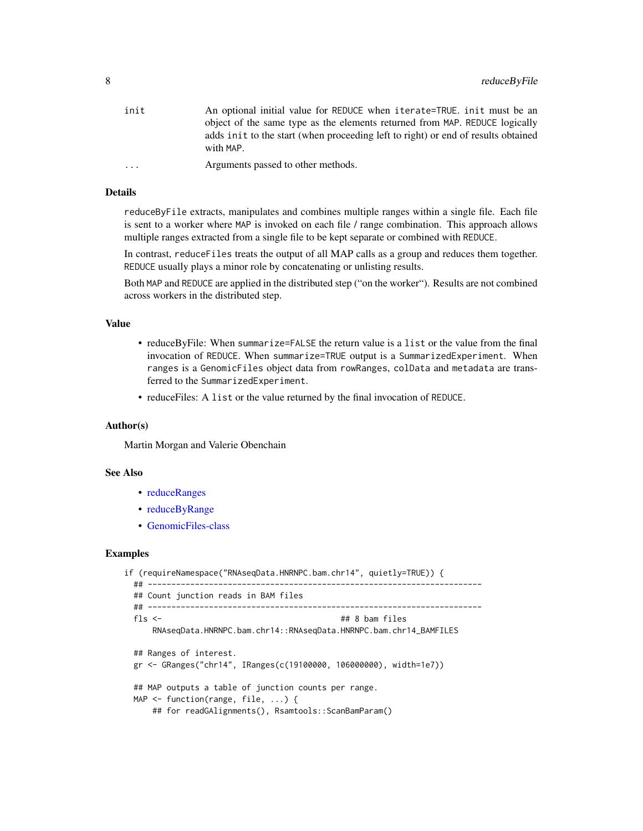<span id="page-7-0"></span>

| init     | An optional initial value for REDUCE when iterate=TRUE. init must be an                         |
|----------|-------------------------------------------------------------------------------------------------|
|          | object of the same type as the elements returned from MAP. REDUCE logically                     |
|          | adds in it to the start (when proceeding left to right) or end of results obtained<br>with MAP. |
| $\cdots$ | Arguments passed to other methods.                                                              |

## Details

reduceByFile extracts, manipulates and combines multiple ranges within a single file. Each file is sent to a worker where MAP is invoked on each file / range combination. This approach allows multiple ranges extracted from a single file to be kept separate or combined with REDUCE.

In contrast, reduceFiles treats the output of all MAP calls as a group and reduces them together. REDUCE usually plays a minor role by concatenating or unlisting results.

Both MAP and REDUCE are applied in the distributed step ("on the worker"). Results are not combined across workers in the distributed step.

## Value

- reduceByFile: When summarize=FALSE the return value is a list or the value from the final invocation of REDUCE. When summarize=TRUE output is a SummarizedExperiment. When ranges is a GenomicFiles object data from rowRanges, colData and metadata are transferred to the SummarizedExperiment.
- reduceFiles: A list or the value returned by the final invocation of REDUCE.

## Author(s)

Martin Morgan and Valerie Obenchain

## See Also

- [reduceRanges](#page-9-2)
- [reduceByRange](#page-9-1)
- [GenomicFiles-class](#page-1-1)

```
if (requireNamespace("RNAseqData.HNRNPC.bam.chr14", quietly=TRUE)) {
 ## -----------------------------------------------------------------------
 ## Count junction reads in BAM files
 ## -----------------------------------------------------------------------
 fls <- ## 8 bam files
     RNAseqData.HNRNPC.bam.chr14::RNAseqData.HNRNPC.bam.chr14_BAMFILES
 ## Ranges of interest.
 gr <- GRanges("chr14", IRanges(c(19100000, 106000000), width=1e7))
 ## MAP outputs a table of junction counts per range.
 MAP <- function(range, file, ...) {
     ## for readGAlignments(), Rsamtools::ScanBamParam()
```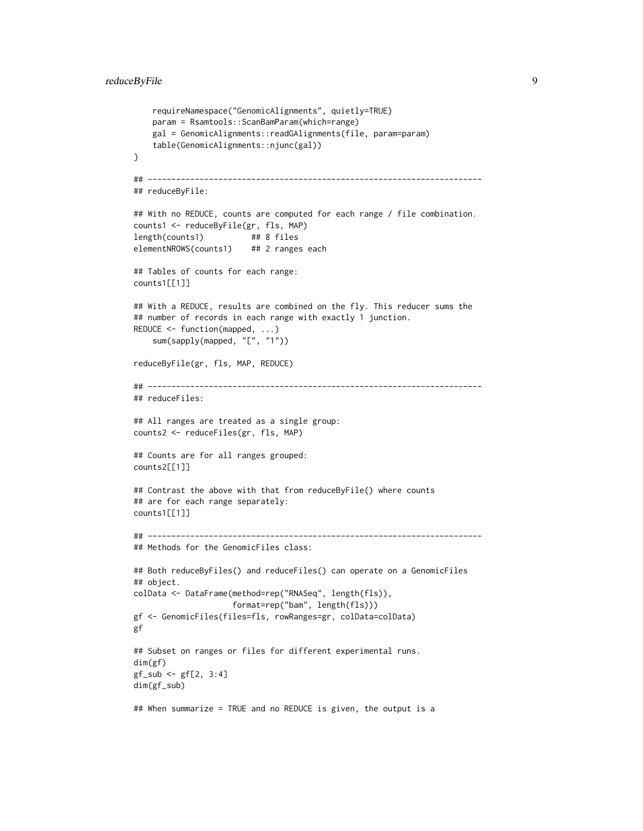```
requireNamespace("GenomicAlignments", quietly=TRUE)
    param = Rsamtools::ScanBamParam(which=range)
    gal = GenomicAlignments::readGAlignments(file, param=param)
    table(GenomicAlignments::njunc(gal))
}
## -----------------------------------------------------------------------
## reduceByFile:
## With no REDUCE, counts are computed for each range / file combination.
counts1 <- reduceByFile(gr, fls, MAP)
length(counts1) ## 8 files
elementNROWS(counts1) ## 2 ranges each
## Tables of counts for each range:
counts1[[1]]
## With a REDUCE, results are combined on the fly. This reducer sums the
## number of records in each range with exactly 1 junction.
REDUCE <- function(mapped, ...)
    sum(sapply(mapped, "[", "1"))
reduceByFile(gr, fls, MAP, REDUCE)
## -----------------------------------------------------------------------
## reduceFiles:
## All ranges are treated as a single group:
counts2 <- reduceFiles(gr, fls, MAP)
## Counts are for all ranges grouped:
counts2[[1]]
## Contrast the above with that from reduceByFile() where counts
## are for each range separately:
counts1[[1]]
## -----------------------------------------------------------------------
## Methods for the GenomicFiles class:
## Both reduceByFiles() and reduceFiles() can operate on a GenomicFiles
## object.
colData <- DataFrame(method=rep("RNASeq", length(fls)),
                     format=rep("bam", length(fls)))
gf <- GenomicFiles(files=fls, rowRanges=gr, colData=colData)
gf
## Subset on ranges or files for different experimental runs.
dim(gf)
gf\_sub \leftarrow gf[2, 3:4]dim(gf_sub)
## When summarize = TRUE and no REDUCE is given, the output is a
```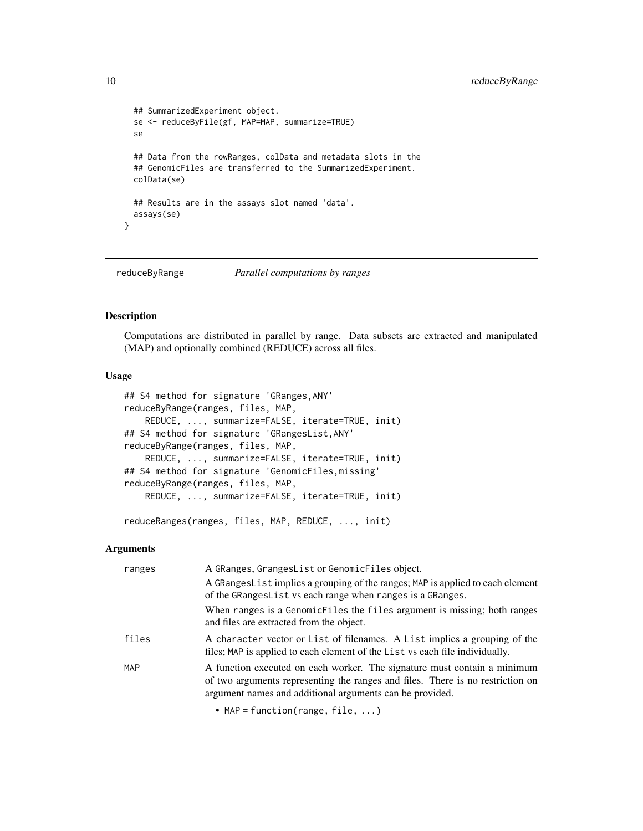```
## SummarizedExperiment object.
 se <- reduceByFile(gf, MAP=MAP, summarize=TRUE)
 se
 ## Data from the rowRanges, colData and metadata slots in the
 ## GenomicFiles are transferred to the SummarizedExperiment.
 colData(se)
 ## Results are in the assays slot named 'data'.
 assays(se)
}
```
<span id="page-9-1"></span>reduceByRange *Parallel computations by ranges*

## <span id="page-9-2"></span>Description

Computations are distributed in parallel by range. Data subsets are extracted and manipulated (MAP) and optionally combined (REDUCE) across all files.

## Usage

```
## S4 method for signature 'GRanges,ANY'
reduceByRange(ranges, files, MAP,
    REDUCE, ..., summarize=FALSE, iterate=TRUE, init)
## S4 method for signature 'GRangesList,ANY'
reduceByRange(ranges, files, MAP,
   REDUCE, ..., summarize=FALSE, iterate=TRUE, init)
## S4 method for signature 'GenomicFiles,missing'
reduceByRange(ranges, files, MAP,
   REDUCE, ..., summarize=FALSE, iterate=TRUE, init)
```
reduceRanges(ranges, files, MAP, REDUCE, ..., init)

## Arguments

| ranges     | A GRanges, GrangesList or GenomicFiles object.                                                                                                                                                                         |
|------------|------------------------------------------------------------------------------------------------------------------------------------------------------------------------------------------------------------------------|
|            | A GRangesList implies a grouping of the ranges; MAP is applied to each element<br>of the GRangesList vs each range when ranges is a GRanges.                                                                           |
|            | When ranges is a GenomicFiles the files argument is missing; both ranges<br>and files are extracted from the object.                                                                                                   |
| files      | A character vector or List of filenames. A List implies a grouping of the<br>files; MAP is applied to each element of the List vs each file individually.                                                              |
| <b>MAP</b> | A function executed on each worker. The signature must contain a minimum<br>of two arguments representing the ranges and files. There is no restriction on<br>argument names and additional arguments can be provided. |

• MAP = function(range, file, ...)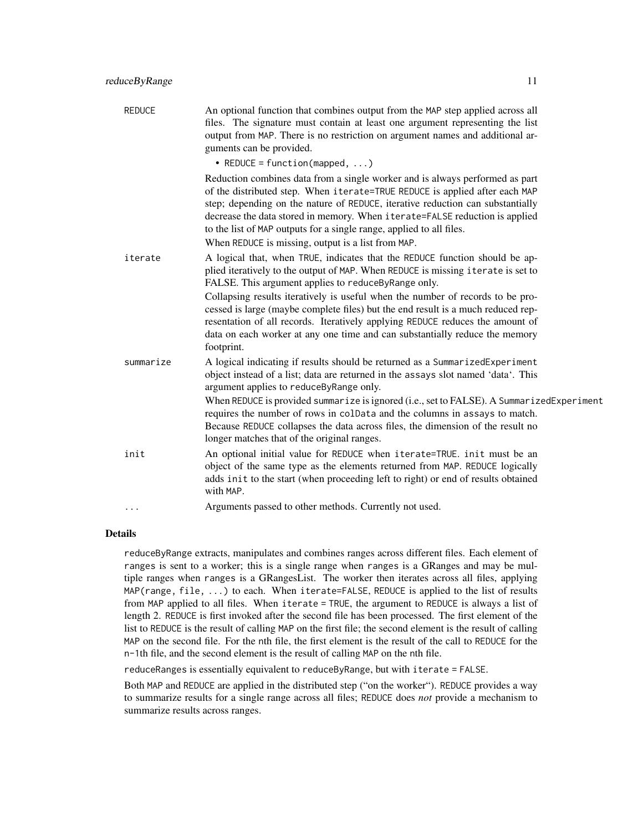| <b>REDUCE</b> | An optional function that combines output from the MAP step applied across all<br>files. The signature must contain at least one argument representing the list<br>output from MAP. There is no restriction on argument names and additional ar-<br>guments can be provided.                                                                                                                                                                                                                                                                                               |
|---------------|----------------------------------------------------------------------------------------------------------------------------------------------------------------------------------------------------------------------------------------------------------------------------------------------------------------------------------------------------------------------------------------------------------------------------------------------------------------------------------------------------------------------------------------------------------------------------|
|               | • REDUCE = function(mapped, $\ldots$ )                                                                                                                                                                                                                                                                                                                                                                                                                                                                                                                                     |
|               | Reduction combines data from a single worker and is always performed as part<br>of the distributed step. When iterate=TRUE REDUCE is applied after each MAP<br>step; depending on the nature of REDUCE, iterative reduction can substantially<br>decrease the data stored in memory. When iterate=FALSE reduction is applied<br>to the list of MAP outputs for a single range, applied to all files.<br>When REDUCE is missing, output is a list from MAP.                                                                                                                 |
| iterate       | A logical that, when TRUE, indicates that the REDUCE function should be ap-<br>plied iteratively to the output of MAP. When REDUCE is missing iterate is set to<br>FALSE. This argument applies to reduceByRange only.<br>Collapsing results iteratively is useful when the number of records to be pro-<br>cessed is large (maybe complete files) but the end result is a much reduced rep-<br>resentation of all records. Iteratively applying REDUCE reduces the amount of<br>data on each worker at any one time and can substantially reduce the memory<br>footprint. |
| summarize     | A logical indicating if results should be returned as a SummarizedExperiment<br>object instead of a list; data are returned in the assays slot named 'data'. This<br>argument applies to reduceByRange only.<br>When REDUCE is provided summarize is ignored (i.e., set to FALSE). A SummarizedExperiment<br>requires the number of rows in colData and the columns in assays to match.<br>Because REDUCE collapses the data across files, the dimension of the result no<br>longer matches that of the original ranges.                                                   |
| init          | An optional initial value for REDUCE when iterate=TRUE. init must be an<br>object of the same type as the elements returned from MAP. REDUCE logically<br>adds init to the start (when proceeding left to right) or end of results obtained<br>with MAP.                                                                                                                                                                                                                                                                                                                   |
| .             | Arguments passed to other methods. Currently not used.                                                                                                                                                                                                                                                                                                                                                                                                                                                                                                                     |

## Details

reduceByRange extracts, manipulates and combines ranges across different files. Each element of ranges is sent to a worker; this is a single range when ranges is a GRanges and may be multiple ranges when ranges is a GRangesList. The worker then iterates across all files, applying MAP(range, file, ...) to each. When iterate=FALSE, REDUCE is applied to the list of results from MAP applied to all files. When iterate = TRUE, the argument to REDUCE is always a list of length 2. REDUCE is first invoked after the second file has been processed. The first element of the list to REDUCE is the result of calling MAP on the first file; the second element is the result of calling MAP on the second file. For the nth file, the first element is the result of the call to REDUCE for the n-1th file, and the second element is the result of calling MAP on the nth file.

reduceRanges is essentially equivalent to reduceByRange, but with iterate = FALSE.

Both MAP and REDUCE are applied in the distributed step ("on the worker"). REDUCE provides a way to summarize results for a single range across all files; REDUCE does *not* provide a mechanism to summarize results across ranges.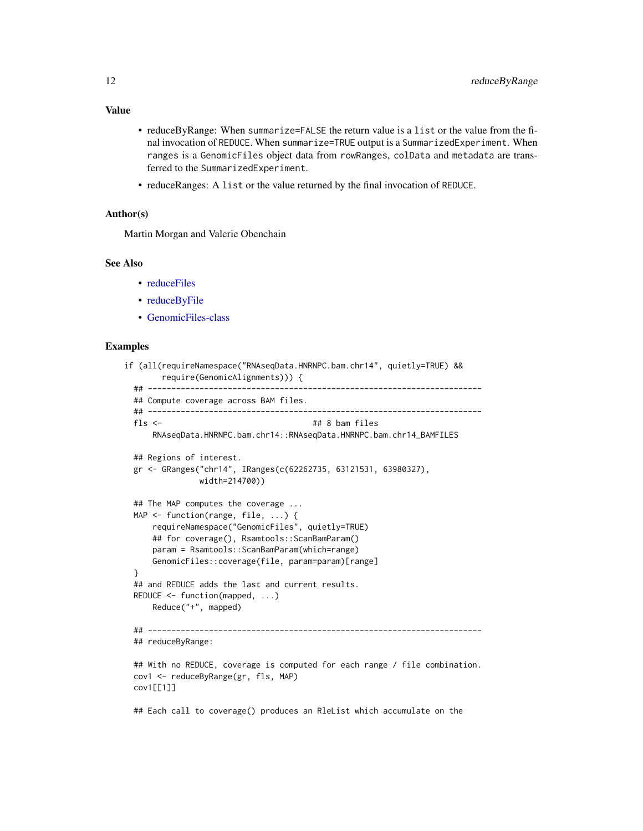- reduceByRange: When summarize=FALSE the return value is a list or the value from the final invocation of REDUCE. When summarize=TRUE output is a SummarizedExperiment. When ranges is a GenomicFiles object data from rowRanges, colData and metadata are transferred to the SummarizedExperiment.
- reduceRanges: A list or the value returned by the final invocation of REDUCE.

## Author(s)

Martin Morgan and Valerie Obenchain

### See Also

- [reduceFiles](#page-5-2)
- [reduceByFile](#page-5-1)
- [GenomicFiles-class](#page-1-1)

## Examples

```
if (all(requireNamespace("RNAseqData.HNRNPC.bam.chr14", quietly=TRUE) &&
       require(GenomicAlignments))) {
 ## -----------------------------------------------------------------------
 ## Compute coverage across BAM files.
 ## -----------------------------------------------------------------------
 fls \leftarrow ## 8 bam files
     RNAseqData.HNRNPC.bam.chr14::RNAseqData.HNRNPC.bam.chr14_BAMFILES
 ## Regions of interest.
 gr <- GRanges("chr14", IRanges(c(62262735, 63121531, 63980327),
               width=214700))
 ## The MAP computes the coverage ...
 MAP <- function(range, file, ...) {
     requireNamespace("GenomicFiles", quietly=TRUE)
     ## for coverage(), Rsamtools::ScanBamParam()
     param = Rsamtools::ScanBamParam(which=range)
     GenomicFiles::coverage(file, param=param)[range]
 }
 ## and REDUCE adds the last and current results.
 REDUCE <- function(mapped, ...)
     Reduce("+", mapped)
 ## -----------------------------------------------------------------------
 ## reduceByRange:
 ## With no REDUCE, coverage is computed for each range / file combination.
 cov1 <- reduceByRange(gr, fls, MAP)
 cov1[[1]]
```
## Each call to coverage() produces an RleList which accumulate on the

## <span id="page-11-0"></span>Value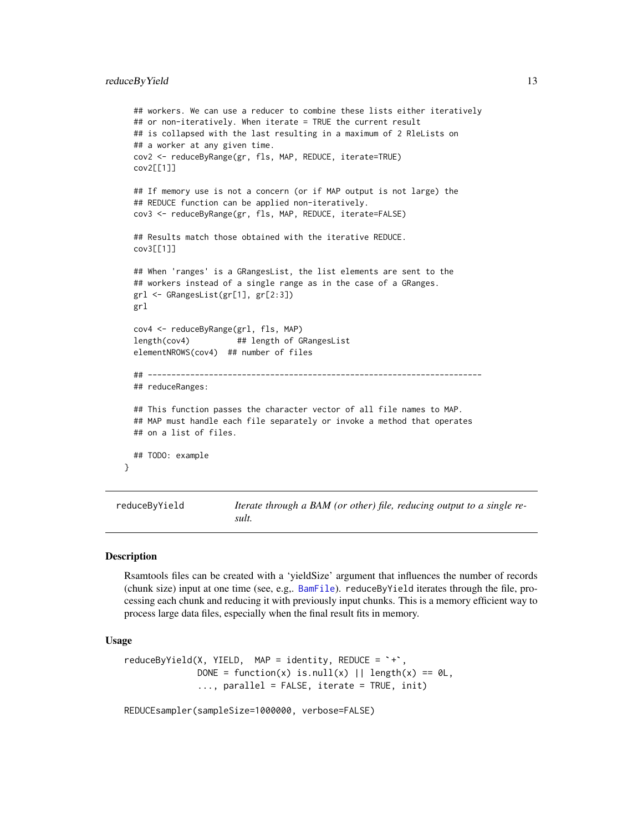```
## workers. We can use a reducer to combine these lists either iteratively
## or non-iteratively. When iterate = TRUE the current result
## is collapsed with the last resulting in a maximum of 2 RleLists on
## a worker at any given time.
cov2 <- reduceByRange(gr, fls, MAP, REDUCE, iterate=TRUE)
cov2[[1]]
## If memory use is not a concern (or if MAP output is not large) the
## REDUCE function can be applied non-iteratively.
cov3 <- reduceByRange(gr, fls, MAP, REDUCE, iterate=FALSE)
## Results match those obtained with the iterative REDUCE.
cov3[[1]]
## When 'ranges' is a GRangesList, the list elements are sent to the
## workers instead of a single range as in the case of a GRanges.
grl <- GRangesList(gr[1], gr[2:3])
grl
cov4 <- reduceByRange(grl, fls, MAP)
length(cov4) ## length of GRangesList
elementNROWS(cov4) ## number of files
## -----------------------------------------------------------------------
## reduceRanges:
## This function passes the character vector of all file names to MAP.
## MAP must handle each file separately or invoke a method that operates
## on a list of files.
## TODO: example
```
reduceByYield *Iterate through a BAM (or other) file, reducing output to a single result.*

#### Description

}

Rsamtools files can be created with a 'yieldSize' argument that influences the number of records (chunk size) input at one time (see, e.g,. [BamFile](#page-0-0)). reduceByYield iterates through the file, processing each chunk and reducing it with previously input chunks. This is a memory efficient way to process large data files, especially when the final result fits in memory.

## Usage

```
reduceByYield(X, YIELD, MAP = identity, REDUCE = <math>\rightarrow \rightarrow</math>,DONE = function(x) is.null(x) || length(x) == \emptysetL,
                 ..., parallel = FALSE, iterate = TRUE, init)
```
REDUCEsampler(sampleSize=1000000, verbose=FALSE)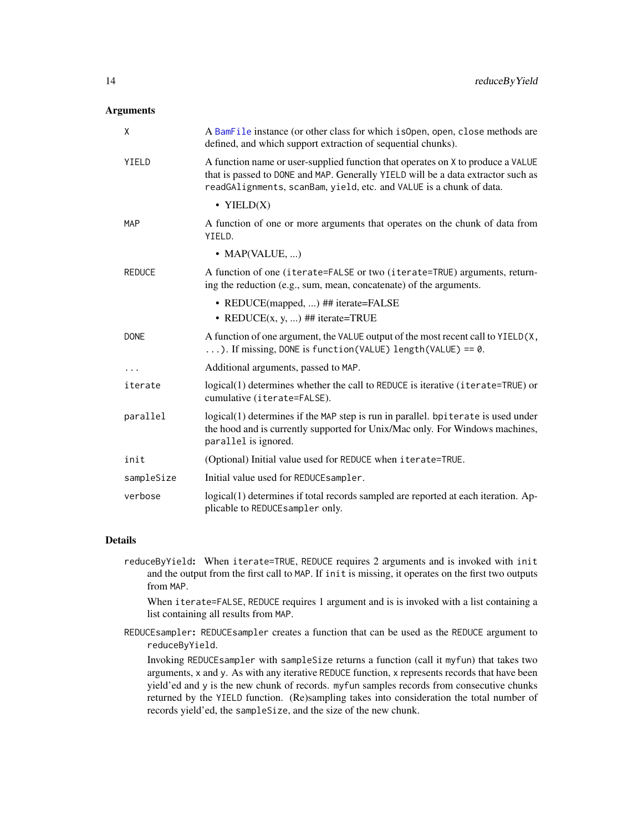## Arguments

| X             | A BamFile instance (or other class for which is Open, open, close methods are<br>defined, and which support extraction of sequential chunks).                                                                                              |
|---------------|--------------------------------------------------------------------------------------------------------------------------------------------------------------------------------------------------------------------------------------------|
| YIELD         | A function name or user-supplied function that operates on X to produce a VALUE<br>that is passed to DONE and MAP. Generally YIELD will be a data extractor such as<br>readGAlignments, scanBam, yield, etc. and VALUE is a chunk of data. |
|               | • YIELD $(X)$                                                                                                                                                                                                                              |
| <b>MAP</b>    | A function of one or more arguments that operates on the chunk of data from<br>YIELD.                                                                                                                                                      |
|               | • MAP(VALUE, )                                                                                                                                                                                                                             |
| <b>REDUCE</b> | A function of one (iterate=FALSE or two (iterate=TRUE) arguments, return-<br>ing the reduction (e.g., sum, mean, concatenate) of the arguments.                                                                                            |
|               | • REDUCE(mapped, ) ## iterate=FALSE                                                                                                                                                                                                        |
|               | • REDUCE $(x, y, )$ ## iterate=TRUE                                                                                                                                                                                                        |
| <b>DONE</b>   | A function of one argument, the VALUE output of the most recent call to YIELD(X,<br>). If missing, DONE is function (VALUE) length (VALUE) == $0$ .                                                                                        |
| .             | Additional arguments, passed to MAP.                                                                                                                                                                                                       |
| iterate       | logical(1) determines whether the call to REDUCE is iterative (iterate=TRUE) or<br>cumulative (iterate=FALSE).                                                                                                                             |
| parallel      | logical(1) determines if the MAP step is run in parallel. bpiterate is used under<br>the hood and is currently supported for Unix/Mac only. For Windows machines,<br>parallel is ignored.                                                  |
| init          | (Optional) Initial value used for REDUCE when iterate=TRUE.                                                                                                                                                                                |
| sampleSize    | Initial value used for REDUCE sampler.                                                                                                                                                                                                     |
| verbose       | logical(1) determines if total records sampled are reported at each iteration. Ap-<br>plicable to REDUCEsampler only.                                                                                                                      |

## Details

reduceByYield: When iterate=TRUE, REDUCE requires 2 arguments and is invoked with init and the output from the first call to MAP. If init is missing, it operates on the first two outputs from MAP.

When iterate=FALSE, REDUCE requires 1 argument and is is invoked with a list containing a list containing all results from MAP.

REDUCEsampler: REDUCEsampler creates a function that can be used as the REDUCE argument to reduceByYield.

Invoking REDUCEsampler with sampleSize returns a function (call it myfun) that takes two arguments, x and y. As with any iterative REDUCE function, x represents records that have been yield'ed and y is the new chunk of records. myfun samples records from consecutive chunks returned by the YIELD function. (Re)sampling takes into consideration the total number of records yield'ed, the sampleSize, and the size of the new chunk.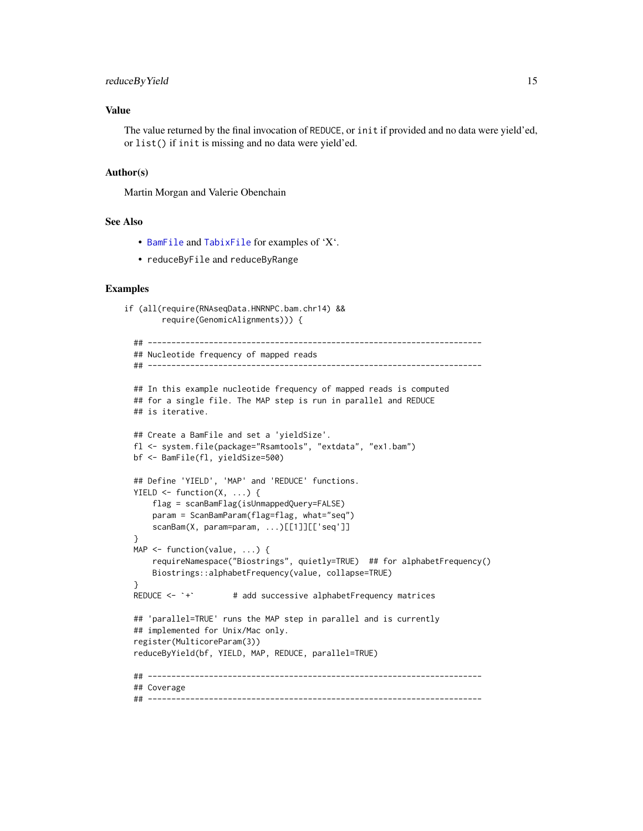## <span id="page-14-0"></span>reduceByYield 15

## Value

The value returned by the final invocation of REDUCE, or init if provided and no data were yield'ed, or list() if init is missing and no data were yield'ed.

## Author(s)

Martin Morgan and Valerie Obenchain

## See Also

- [BamFile](#page-0-0) and [TabixFile](#page-0-0) for examples of 'X'.
- reduceByFile and reduceByRange

```
if (all(require(RNAseqData.HNRNPC.bam.chr14) &&
        require(GenomicAlignments))) {
  ## -----------------------------------------------------------------------
  ## Nucleotide frequency of mapped reads
  ## -----------------------------------------------------------------------
  ## In this example nucleotide frequency of mapped reads is computed
  ## for a single file. The MAP step is run in parallel and REDUCE
  ## is iterative.
  ## Create a BamFile and set a 'yieldSize'.
  fl <- system.file(package="Rsamtools", "extdata", "ex1.bam")
  bf <- BamFile(fl, yieldSize=500)
  ## Define 'YIELD', 'MAP' and 'REDUCE' functions.
  YIELD \leq function(X, ...) {
      flag = scanBamFlag(isUnmappedQuery=FALSE)
      param = ScanBamParam(flag=flag, what="seq")
      scanBam(X, param=param, ...)[[1]][['seq']]
  }
  MAP <- function(value, ...) {
  requireNamespace("Biostrings", quietly=TRUE) ## for alphabetFrequency()<br>Biostrings::alphabetFrequency(value, collapse=TRUE)<br>REDUCE <- `+` # add successive alphabetFrequency matrices
      Biostrings::alphabetFrequency(value, collapse=TRUE)
  }
  ## 'parallel=TRUE' runs the MAP step in parallel and is currently
  ## implemented for Unix/Mac only.
  register(MulticoreParam(3))
  reduceByYield(bf, YIELD, MAP, REDUCE, parallel=TRUE)
  ## -----------------------------------------------------------------------
  ## Coverage
  ## -----------------------------------------------------------------------
```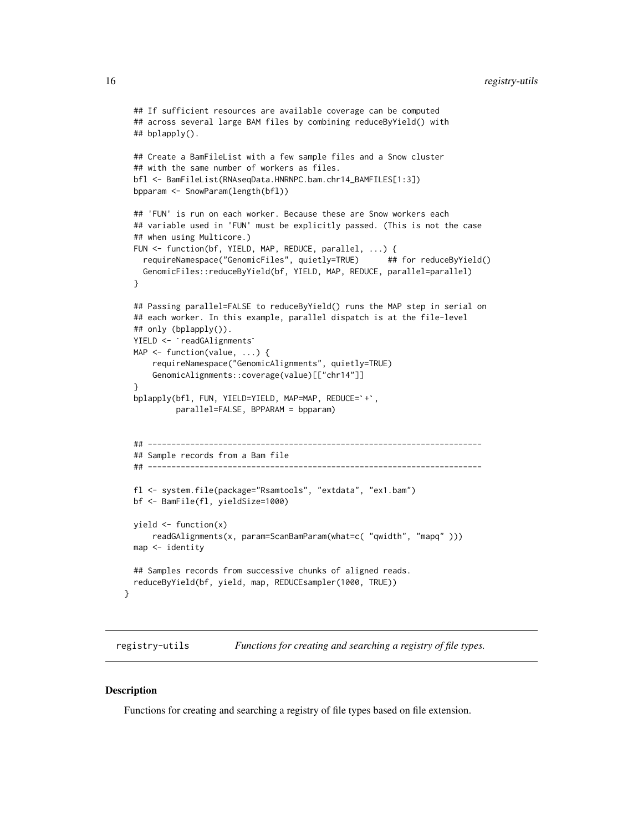```
## If sufficient resources are available coverage can be computed
## across several large BAM files by combining reduceByYield() with
## bplapply().
## Create a BamFileList with a few sample files and a Snow cluster
## with the same number of workers as files.
bfl <- BamFileList(RNAseqData.HNRNPC.bam.chr14_BAMFILES[1:3])
bpparam <- SnowParam(length(bfl))
## 'FUN' is run on each worker. Because these are Snow workers each
## variable used in 'FUN' must be explicitly passed. (This is not the case
## when using Multicore.)
FUN <- function(bf, YIELD, MAP, REDUCE, parallel, ...) {
  requireNamespace("GenomicFiles", quietly=TRUE) ## for reduceByYield()
  GenomicFiles::reduceByYield(bf, YIELD, MAP, REDUCE, parallel=parallel)
}
## Passing parallel=FALSE to reduceByYield() runs the MAP step in serial on<br>## each worker. In this example, parallel dispatch is at the file-level<br>## only (bplapply()).<br>YIELD <- `readGAlignments`
## each worker. In this example, parallel dispatch is at the file-level
## only (bplapply()).
MAP \leq function(value, ...) {
    requireNamespace("GenomicAlignments", quietly=TRUE)
    GenomicAlignments::coverage(value)[["chr14"]]
}
bplapply(bfl, FUN, YIELD=YIELD, MAP=MAP, REDUCE=`+`,
         parallel=FALSE, BPPARAM = bpparam)
## -----------------------------------------------------------------------
## Sample records from a Bam file
## -----------------------------------------------------------------------
fl <- system.file(package="Rsamtools", "extdata", "ex1.bam")
bf <- BamFile(fl, yieldSize=1000)
yield <- function(x)
    readGAlignments(x, param=ScanBamParam(what=c( "qwidth", "mapq" )))
map <- identity
## Samples records from successive chunks of aligned reads.
reduceByYield(bf, yield, map, REDUCEsampler(1000, TRUE))
```
registry-utils *Functions for creating and searching a registry of file types.*

## **Description**

}

Functions for creating and searching a registry of file types based on file extension.

<span id="page-15-0"></span>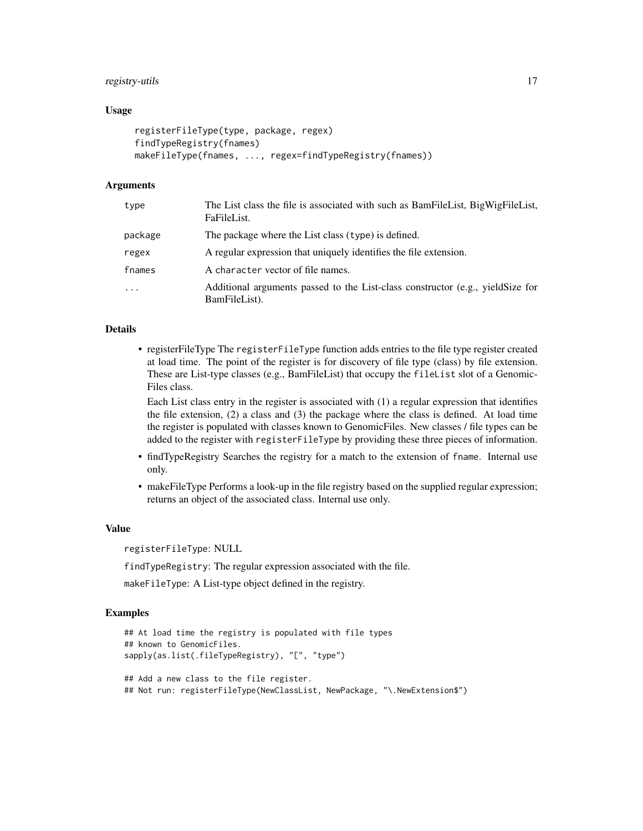## registry-utils 17

## Usage

```
registerFileType(type, package, regex)
findTypeRegistry(fnames)
makeFileType(fnames, ..., regex=findTypeRegistry(fnames))
```
## Arguments

| type       | The List class the file is associated with such as BamFileList, BigWigFileList,<br>FaFileList.  |
|------------|-------------------------------------------------------------------------------------------------|
| package    | The package where the List class (type) is defined.                                             |
| regex      | A regular expression that uniquely identifies the file extension.                               |
| fnames     | A character vector of file names.                                                               |
| $\ddots$ . | Additional arguments passed to the List-class constructor (e.g., yieldSize for<br>BamFileList). |

## Details

• registerFileType The registerFileType function adds entries to the file type register created at load time. The point of the register is for discovery of file type (class) by file extension. These are List-type classes (e.g., BamFileList) that occupy the fileList slot of a Genomic-Files class.

Each List class entry in the register is associated with (1) a regular expression that identifies the file extension, (2) a class and (3) the package where the class is defined. At load time the register is populated with classes known to GenomicFiles. New classes / file types can be added to the register with registerFileType by providing these three pieces of information.

- findTypeRegistry Searches the registry for a match to the extension of fname. Internal use only.
- makeFileType Performs a look-up in the file registry based on the supplied regular expression; returns an object of the associated class. Internal use only.

### Value

registerFileType: NULL

findTypeRegistry: The regular expression associated with the file.

makeFileType: A List-type object defined in the registry.

```
## At load time the registry is populated with file types
## known to GenomicFiles.
sapply(as.list(.fileTypeRegistry), "[", "type")
## Add a new class to the file register.
## Not run: registerFileType(NewClassList, NewPackage, "\.NewExtension$")
```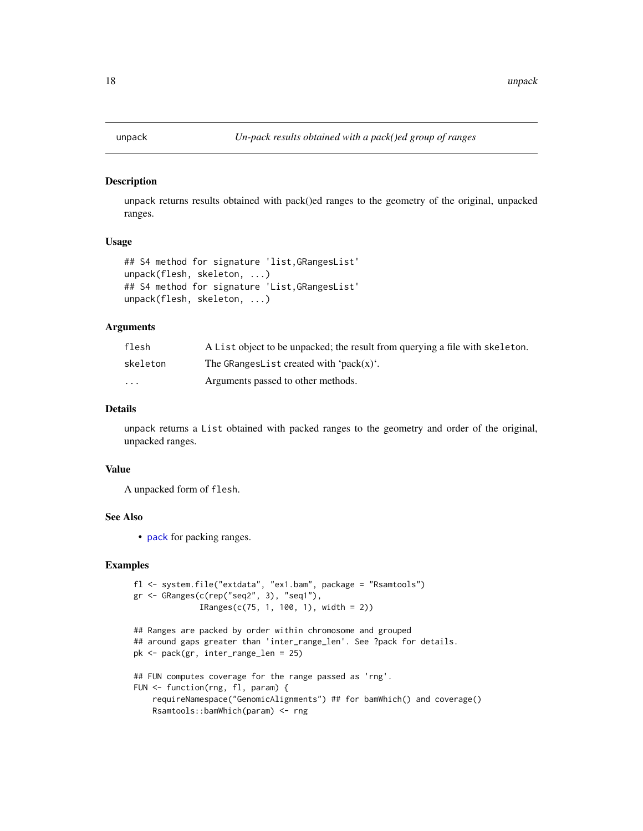<span id="page-17-1"></span><span id="page-17-0"></span>

## Description

unpack returns results obtained with pack()ed ranges to the geometry of the original, unpacked ranges.

## Usage

```
## S4 method for signature 'list,GRangesList'
unpack(flesh, skeleton, ...)
## S4 method for signature 'List,GRangesList'
unpack(flesh, skeleton, ...)
```
## Arguments

| flesh    | A List object to be unpacked; the result from querying a file with skeleton. |
|----------|------------------------------------------------------------------------------|
| skeleton | The GRangesList created with 'pack $(x)$ '.                                  |
| $\cdots$ | Arguments passed to other methods.                                           |

## Details

unpack returns a List obtained with packed ranges to the geometry and order of the original, unpacked ranges.

## Value

A unpacked form of flesh.

## See Also

• [pack](#page-4-1) for packing ranges.

```
fl <- system.file("extdata", "ex1.bam", package = "Rsamtools")
gr <- GRanges(c(rep("seq2", 3), "seq1"),
              IRanges(c(75, 1, 100, 1), width = 2))
```

```
## Ranges are packed by order within chromosome and grouped
## around gaps greater than 'inter_range_len'. See ?pack for details.
pk <- pack(gr, inter_range_len = 25)
## FUN computes coverage for the range passed as 'rng'.
FUN <- function(rng, fl, param) {
```

```
requireNamespace("GenomicAlignments") ## for bamWhich() and coverage()
Rsamtools::bamWhich(param) <- rng
```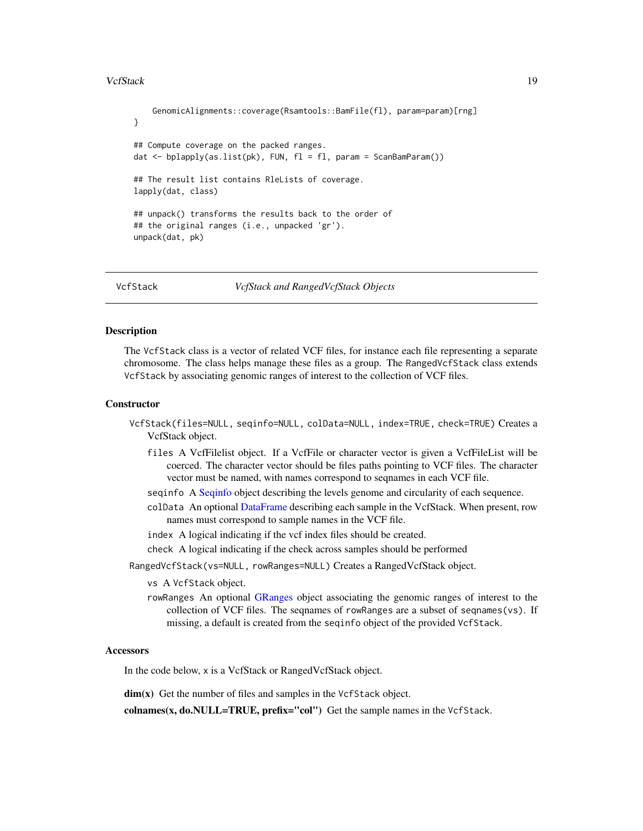## <span id="page-18-0"></span>VcfStack 19

```
GenomicAlignments::coverage(Rsamtools::BamFile(fl), param=param)[rng]
}
## Compute coverage on the packed ranges.
dat <- bplapply(as.list(pk), FUN, fl = fl, param = ScanBamParam())
## The result list contains RleLists of coverage.
lapply(dat, class)
## unpack() transforms the results back to the order of
## the original ranges (i.e., unpacked 'gr').
unpack(dat, pk)
```
VcfStack *VcfStack and RangedVcfStack Objects*

#### Description

The VcfStack class is a vector of related VCF files, for instance each file representing a separate chromosome. The class helps manage these files as a group. The RangedVcfStack class extends VcfStack by associating genomic ranges of interest to the collection of VCF files.

## **Constructor**

- VcfStack(files=NULL, seqinfo=NULL, colData=NULL, index=TRUE, check=TRUE) Creates a VcfStack object.
	- files A VcfFilelist object. If a VcfFile or character vector is given a VcfFileList will be coerced. The character vector should be files paths pointing to VCF files. The character vector must be named, with names correspond to seqnames in each VCF file.
	- seqinfo A [Seqinfo](#page-0-0) object describing the levels genome and circularity of each sequence.
	- colData An optional [DataFrame](#page-0-0) describing each sample in the VcfStack. When present, row names must correspond to sample names in the VCF file.
	- index A logical indicating if the vcf index files should be created.
	- check A logical indicating if the check across samples should be performed
- RangedVcfStack(vs=NULL, rowRanges=NULL) Creates a RangedVcfStack object.
	- vs A VcfStack object.
	- rowRanges An optional [GRanges](#page-0-0) object associating the genomic ranges of interest to the collection of VCF files. The seqnames of rowRanges are a subset of seqnames(vs). If missing, a default is created from the seqinfo object of the provided VcfStack.

## **Accessors**

In the code below, x is a VcfStack or RangedVcfStack object.

dim(x) Get the number of files and samples in the VcfStack object.

colnames(x, do.NULL=TRUE, prefix="col") Get the sample names in the VcfStack.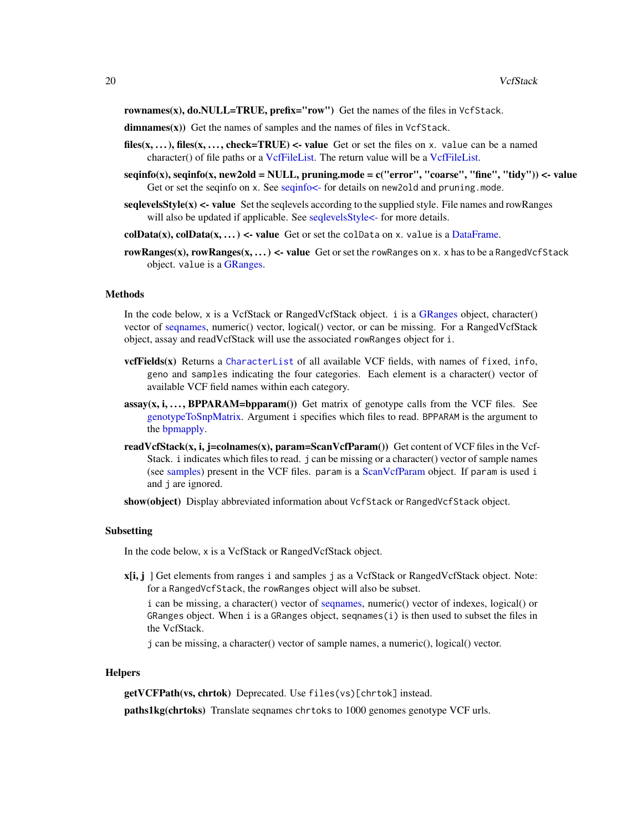<span id="page-19-0"></span>rownames(x),  $do.NULL = TRUE$ ,  $prefix = "row"$  Get the names of the files in VcfStack.

 $dimensionalism names(x))$  Get the names of samples and the names of files in VcfStack.

- files(x, ...), files(x, ..., check=TRUE) <- value Get or set the files on x. value can be a named character() of file paths or a [VcfFileList.](#page-0-0) The return value will be a [VcfFileList.](#page-0-0)
- seqinfo(x), seqinfo(x, new2old = NULL, pruning.mode = c("error", "coarse", "fine", "tidy")) <- value Get or set the seqinfo on x. See seqinfo $\lt$ - for details on new2o1d and pruning.mode.
- seqlevels  $\text{Style}(x)$  <- value Set the seqlevels according to the supplied style. File names and rowRanges will also be updated if applicable. See seqlevelsStyle <- for more details.
- colData $(x)$ , colData $(x, \ldots)$  <- value Get or set the colData on x. value is a [DataFrame.](#page-0-0)
- rowRanges(x), rowRanges(x, ...) <- value Get or set the rowRanges on x. x has to be a RangedVcfStack object. value is a [GRanges.](#page-0-0)

## Methods

In the code below, x is a VcfStack or RangedVcfStack object. i is a [GRanges](#page-0-0) object, character() vector of [seqnames,](#page-0-0) numeric() vector, logical() vector, or can be missing. For a RangedVcfStack object, assay and readVcfStack will use the associated rowRanges object for i.

- vcfFields(x) Returns a [CharacterList](#page-0-0) of all available VCF fields, with names of fixed, info, geno and samples indicating the four categories. Each element is a character() vector of available VCF field names within each category.
- $\text{assay}(x, i, \ldots, \text{BPPARAM} = \text{bpparam}()$  Get matrix of genotype calls from the VCF files. See [genotypeToSnpMatrix.](#page-0-0) Argument i specifies which files to read. BPPARAM is the argument to the [bpmapply.](#page-0-0)
- read VcfStack(x, i, j=colnames(x), param=Scan VcfParam()) Get content of VCF files in the Vcf-Stack. i indicates which files to read. j can be missing or a character() vector of sample names (see [samples\)](#page-0-0) present in the VCF files. param is a [ScanVcfParam](#page-0-0) object. If param is used i and j are ignored.

show(object) Display abbreviated information about VcfStack or RangedVcfStack object.

## Subsetting

In the code below, x is a VcfStack or RangedVcfStack object.

x[i, j ] Get elements from ranges i and samples j as a VcfStack or RangedVcfStack object. Note: for a RangedVcfStack, the rowRanges object will also be subset.

i can be missing, a character() vector of [seqnames,](#page-0-0) numeric() vector of indexes, logical() or GRanges object. When i is a GRanges object, seqnames $(i)$  is then used to subset the files in the VcfStack.

j can be missing, a character() vector of sample names, a numeric(), logical() vector.

## **Helpers**

getVCFPath(vs, chrtok) Deprecated. Use files(vs)[chrtok] instead.

paths1kg(chrtoks) Translate seqnames chrtoks to 1000 genomes genotype VCF urls.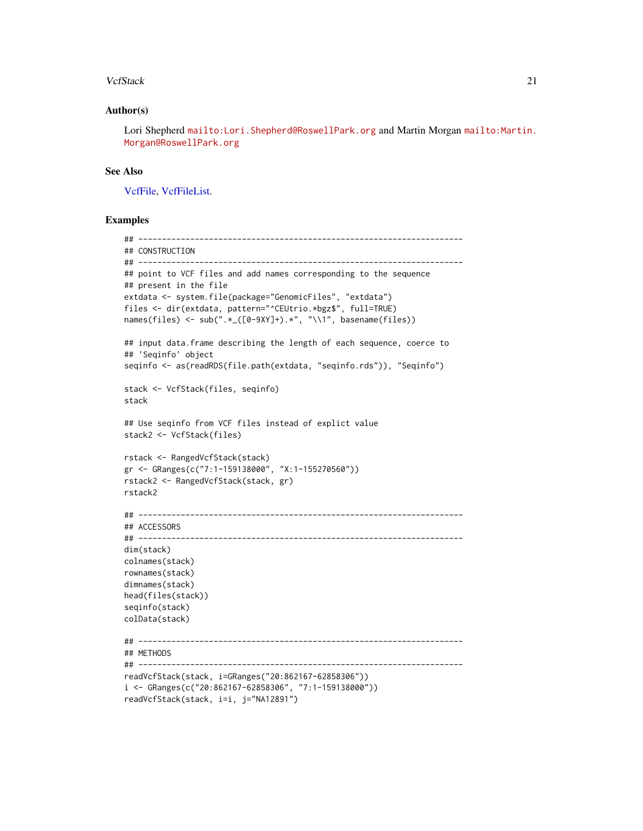## <span id="page-20-0"></span>VcfStack 21

## Author(s)

Lori Shepherd <mailto:Lori.Shepherd@RoswellPark.org> and Martin Morgan [mailto:Martin.](mailto:Martin.Morgan@RoswellPark.org) [Morgan@RoswellPark.org](mailto:Martin.Morgan@RoswellPark.org)

## See Also

[VcfFile,](#page-0-0) [VcfFileList.](#page-0-0)

```
## ---------------------------------------------------------------------
## CONSTRUCTION
## ---------------------------------------------------------------------
## point to VCF files and add names corresponding to the sequence
## present in the file
extdata <- system.file(package="GenomicFiles", "extdata")
files <- dir(extdata, pattern="^CEUtrio.*bgz$", full=TRUE)
names(files) <- sub(".*_([0-9XY]+).*", "\\1", basename(files))
## input data.frame describing the length of each sequence, coerce to
## 'Seqinfo' object
seqinfo <- as(readRDS(file.path(extdata, "seqinfo.rds")), "Seqinfo")
stack <- VcfStack(files, seqinfo)
stack
## Use seqinfo from VCF files instead of explict value
stack2 <- VcfStack(files)
rstack <- RangedVcfStack(stack)
gr <- GRanges(c("7:1-159138000", "X:1-155270560"))
rstack2 <- RangedVcfStack(stack, gr)
rstack2
## ---------------------------------------------------------------------
## ACCESSORS
## ---------------------------------------------------------------------
dim(stack)
colnames(stack)
rownames(stack)
dimnames(stack)
head(files(stack))
seqinfo(stack)
colData(stack)
## ---------------------------------------------------------------------
## METHODS
## ---------------------------------------------------------------------
readVcfStack(stack, i=GRanges("20:862167-62858306"))
i <- GRanges(c("20:862167-62858306", "7:1-159138000"))
readVcfStack(stack, i=i, j="NA12891")
```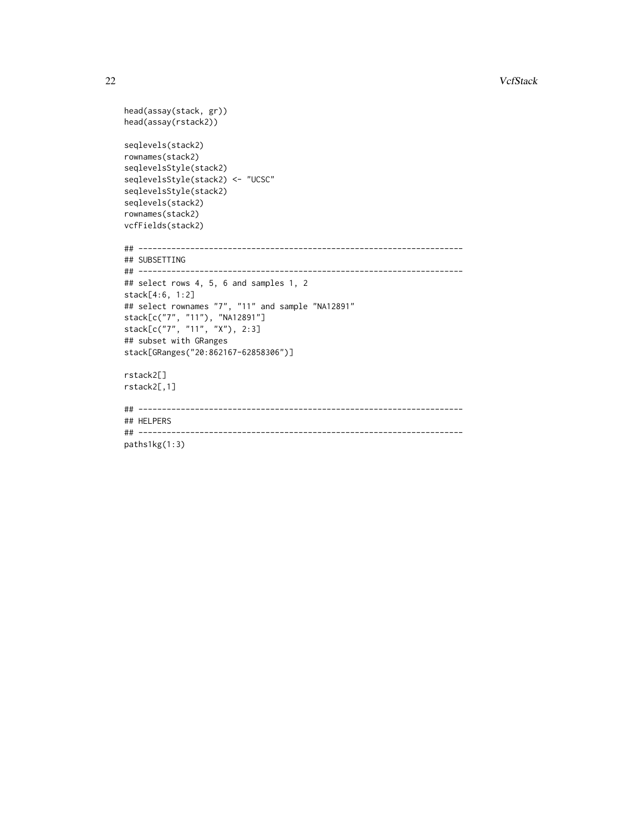```
22 September 2022 September 2022 September 2022 September 2022 September 2022 September 2022 September 2022 September 2022 September 2022 September 2022 September 2022 September 2022 September 2022 September 2022 September
```

```
head(assay(stack, gr))
head(assay(rstack2))
seqlevels(stack2)
rownames(stack2)
seqlevelsStyle(stack2)
seqlevelsStyle(stack2) <- "UCSC"
seqlevelsStyle(stack2)
seqlevels(stack2)
rownames(stack2)
vcfFields(stack2)
## ---------------------------------------------------------------------
## SUBSETTING
## ---------------------------------------------------------------------
## select rows 4, 5, 6 and samples 1, 2
stack[4:6, 1:2]
## select rownames "7", "11" and sample "NA12891"
stack[c("7", "11"), "NA12891"]
stack[c("7", "11", "X"), 2:3]
## subset with GRanges
stack[GRanges("20:862167-62858306")]
rstack2[]
rstack2[,1]
## ---------------------------------------------------------------------
## HELPERS
## ---------------------------------------------------------------------
paths1kg(1:3)
```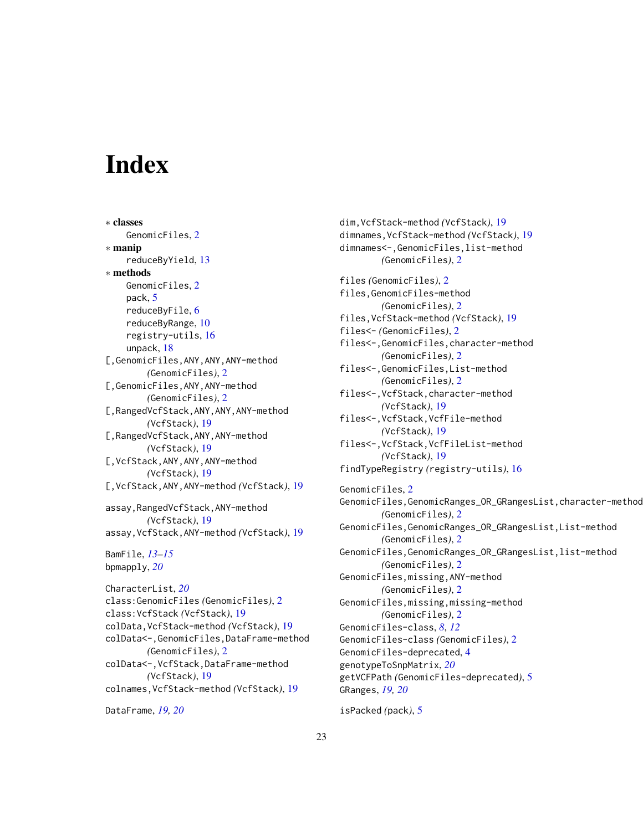# <span id="page-22-0"></span>**Index**

∗ classes GenomicFiles, [2](#page-1-0) ∗ manip reduceByYield, [13](#page-12-0) ∗ methods GenomicFiles, [2](#page-1-0) pack, [5](#page-4-0) reduceByFile, [6](#page-5-0) reduceByRange, [10](#page-9-0) registry-utils, [16](#page-15-0) unpack, [18](#page-17-0) [,GenomicFiles,ANY,ANY,ANY-method *(*GenomicFiles*)*, [2](#page-1-0) [,GenomicFiles,ANY,ANY-method *(*GenomicFiles*)*, [2](#page-1-0) [,RangedVcfStack,ANY,ANY,ANY-method *(*VcfStack*)*, [19](#page-18-0) [,RangedVcfStack,ANY,ANY-method *(*VcfStack*)*, [19](#page-18-0) [,VcfStack,ANY,ANY,ANY-method *(*VcfStack*)*, [19](#page-18-0) [,VcfStack,ANY,ANY-method *(*VcfStack*)*, [19](#page-18-0) assay,RangedVcfStack,ANY-method *(*VcfStack*)*, [19](#page-18-0) assay,VcfStack,ANY-method *(*VcfStack*)*, [19](#page-18-0) BamFile, *[13](#page-12-0)[–15](#page-14-0)* bpmapply, *[20](#page-19-0)* CharacterList, *[20](#page-19-0)* class:GenomicFiles *(*GenomicFiles*)*, [2](#page-1-0) class:VcfStack *(*VcfStack*)*, [19](#page-18-0) colData,VcfStack-method *(*VcfStack*)*, [19](#page-18-0) colData<-,GenomicFiles,DataFrame-method *(*GenomicFiles*)*, [2](#page-1-0) colData<-,VcfStack,DataFrame-method *(*VcfStack*)*, [19](#page-18-0) colnames,VcfStack-method *(*VcfStack*)*, [19](#page-18-0) DataFrame, *[19,](#page-18-0) [20](#page-19-0)*

dim,VcfStack-method *(*VcfStack*)*, [19](#page-18-0) dimnames,VcfStack-method *(*VcfStack*)*, [19](#page-18-0) dimnames<-,GenomicFiles,list-method *(*GenomicFiles*)*, [2](#page-1-0) files *(*GenomicFiles*)*, [2](#page-1-0) files,GenomicFiles-method *(*GenomicFiles*)*, [2](#page-1-0) files,VcfStack-method *(*VcfStack*)*, [19](#page-18-0) files<- *(*GenomicFiles*)*, [2](#page-1-0) files<-,GenomicFiles,character-method *(*GenomicFiles*)*, [2](#page-1-0) files<-,GenomicFiles,List-method *(*GenomicFiles*)*, [2](#page-1-0) files<-,VcfStack,character-method *(*VcfStack*)*, [19](#page-18-0) files<-,VcfStack,VcfFile-method *(*VcfStack*)*, [19](#page-18-0) files<-,VcfStack,VcfFileList-method *(*VcfStack*)*, [19](#page-18-0) findTypeRegistry *(*registry-utils*)*, [16](#page-15-0) GenomicFiles, [2](#page-1-0) GenomicFiles,GenomicRanges\_OR\_GRangesList,character-method *(*GenomicFiles*)*, [2](#page-1-0) GenomicFiles,GenomicRanges\_OR\_GRangesList,List-method *(*GenomicFiles*)*, [2](#page-1-0) GenomicFiles,GenomicRanges\_OR\_GRangesList,list-method *(*GenomicFiles*)*, [2](#page-1-0) GenomicFiles,missing,ANY-method *(*GenomicFiles*)*, [2](#page-1-0) GenomicFiles,missing,missing-method *(*GenomicFiles*)*, [2](#page-1-0) GenomicFiles-class, *[8](#page-7-0)*, *[12](#page-11-0)* GenomicFiles-class *(*GenomicFiles*)*, [2](#page-1-0) GenomicFiles-deprecated, [4](#page-3-0) genotypeToSnpMatrix, *[20](#page-19-0)* getVCFPath *(*GenomicFiles-deprecated*)*, [5](#page-4-0) GRanges, *[19,](#page-18-0) [20](#page-19-0)* isPacked *(*pack*)*, [5](#page-4-0)